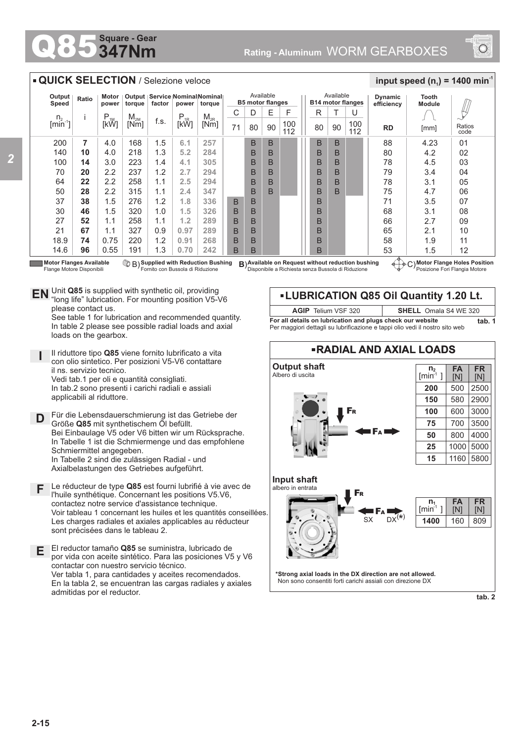## **347Nm Square - Gear**

*2*



## $\overline{n_1}$  $[min^1]$ **LUBRICATION Q85 Oil Quantity 1.20 Lt. RADIAL AND AXIAL LOADS Output shaft** Albero di uscita **\*Strong axial loads in the DX direction are not allowed.** Non sono consentiti forti carichi assiali con direzione DX **Input shaft** albero in entrata  $S_X$   $DX^{(*)}$ **FR** [N] **FA** [N] **n 2**  $[min^1]$ 809 **FR** [N] **FA** [N] **1400** 160 F<sup>A</sup> F<sup>R</sup> F<sup>R</sup> F<sup>A</sup> 500 2900 3000 3500 4000 5000 5800 2500 580 600 700 800 1000 1160 **200 150 100 75 50 25 15** Available **B5 motor flanges** Available **B14 motor flanges RD** [mm] Ratios  $E$  | F || R | T  $90 \mid 112 \mid \mid 80 \mid 90 \mid 112$ **Dynamic efficiency** U B B B B B B B B B B B B B B B B B B 88 80 78 79 78 75 71 68 66 65 58 53 4.23 4.2 4.5 3.4 3.1 4.7 3.5 3.1 2.7 2.1 1.9 1.5  $0<sub>1</sub>$ 02 03 04 05  $\Omega$ 07 08 09 10 11 12 **Tooth Module** B B B B B B  $\frac{1}{2}$  **input speed (n**<sub>1</sub>) = 1400 min<sup>-1</sup> **Motor Flange Holes Position** C) Posizione Fori Flangia Motore **Available on Request without reduction bushing** Disponibile a Richiesta senza Bussola di Riduzione n.  $[min^{-1}]$ i P<br>[kW]  $M_{2M}$ <br>Mml  $\begin{array}{c|c|c|c} \mathsf{M}_{\mathsf{2M}} & \mathsf{f.s.} & \mathsf{P}_{\mathsf{1R}} & \mathsf{M}_{\mathsf{2R}} \ \hline \mathsf{[Nm]} & \mathsf{[KW]} & \mathsf{[KW]} \end{array}$  $C$  D  $71 | 80$ **Output Speed Ratio Motor power Output torque Service Nominal Nominal factor power torque** 200 140 100 70  $64$ 50 37 30 27 21 18.9 14.6 **7 10 14 20 22 28 38 46 52 67 74 96** B B B B B B B B B B B B B B B B B B **QUICK SELECTION** / Selezione veloce **Motor Flanges Available** Flange Motore Disponibili **Supplied with Reduction Bushing** Fornito con Bussola di Riduzione B) **B**) 100 112 100 Unit **Q85** is supplied with synthetic oil, providing **EN** Unit Q85 is supplied with synthetic oil, providing<br>"long life" lubrication. For mounting position V5-V6 please contact us. See table 1 for lubrication and recommended quantity. In table 2 please see possible radial loads and axial loads on the gearbox. **D I** Il riduttore tipo **Q85** viene fornito lubrificato a vita con olio sintetico. Per posizioni V5-V6 contattare il ns. servizio tecnico. Vedi tab.1 per oli e quantità consigliati. In tab.2 sono presenti i carichi radiali e assiali applicabili al riduttore. Für die Lebensdauerschmierung ist das Getriebe der Größe **Q85** mit synthetischem Öl befüllt. Bei Einbaulage V5 oder V6 bitten wir um Rücksprache. In Tabelle 1 ist die Schmiermenge und das empfohlene Schmiermittel angegeben. In Tabelle 2 sind die zulässigen Radial - und Axialbelastungen des Getriebes aufgeführt. **E** El reductor tamaño **Q85** se suministra, lubricado de por vida con aceite sintético. Para las posiciones V5 y V6 contactar con nuestro servicio técnico. Ver tabla 1, para cantidades y aceites recomendados. En la tabla 2, se encuentran las cargas radiales y axiales **F** Le réducteur de type **Q85** est fourni lubrifié à vie avec de l'huile synthétique. Concernant les positions V5.V6, contactez notre service d'assistance technique. Voir tableau 1 concernant les huiles et les quantités conseillées. Les charges radiales et axiales applicables au réducteur sont précisées dans le tableau 2. 4.0 4.0 3.0 2.2 2.2 2.2 1.5 1.5 1.1 1.1 0.75 0.55 168 218 223 237 258 315 276 320 258 327 220 191 1.5 1.3 1.4 1.2 1.1 1.1 1.2 1.0 1.1 0.9 1.2 1.3 **For all details on lubrication and plugs check our website tab. 1** Per maggiori dettagli su lubrificazione e tappi olio vedi il nostro sito web **AGIP** Telium VSF 320 **SHELL** Omala S4 WE 320 [mm] **6.1 5.2 4.1 2.7 2.5 2.4 1.8 1.5 1.2 0.97 0.91 0.70 257 284 305 294 294 347 336 326 289 289 268 242**

**tab. 2**

admitidas por el reductor.